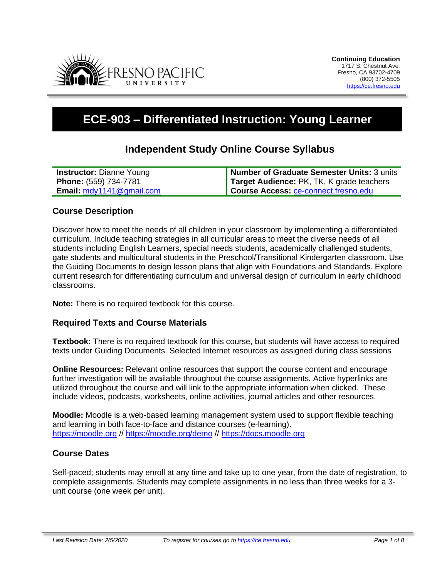

# **ECE-903 – Differentiated Instruction: Young Learner**

# **Independent Study Online Course Syllabus**

| <b>Instructor: Dianne Young</b>   | Number of Graduate Semester Units: 3 units |
|-----------------------------------|--------------------------------------------|
| <b>Phone:</b> (559) 734-7781      | Target Audience: PK, TK, K grade teachers  |
| <b>Email:</b> $mdy1141@gmail.com$ | Course Access: ce-connect.fresno.edu       |

### **Course Description**

Discover how to meet the needs of all children in your classroom by implementing a differentiated curriculum. Include teaching strategies in all curricular areas to meet the diverse needs of all students including English Learners, special needs students, academically challenged students, gate students and multicultural students in the Preschool/Transitional Kindergarten classroom. Use the Guiding Documents to design lesson plans that align with Foundations and Standards. Explore current research for differentiating curriculum and universal design of curriculum in early childhood classrooms.

**Note:** There is no required textbook for this course.

#### **Required Texts and Course Materials**

**Textbook:** There is no required textbook for this course, but students will have access to required texts under Guiding Documents. Selected Internet resources as assigned during class sessions

**Online Resources:** Relevant online resources that support the course content and encourage further investigation will be available throughout the course assignments. Active hyperlinks are utilized throughout the course and will link to the appropriate information when clicked. These include videos, podcasts, worksheets, online activities, journal articles and other resources.

**Moodle:** Moodle is a web-based learning management system used to support flexible teaching and learning in both face-to-face and distance courses (e-learning). [https://moodle.org](https://moodle.org/) //<https://moodle.org/demo> // [https://docs.moodle.org](https://docs.moodle.org/)

# **Course Dates**

Self-paced; students may enroll at any time and take up to one year, from the date of registration, to complete assignments. Students may complete assignments in no less than three weeks for a 3 unit course (one week per unit).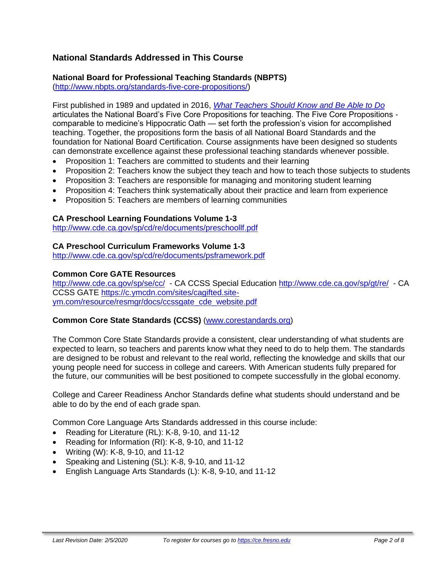# **National Standards Addressed in This Course**

### **National Board for Professional Teaching Standards (NBPTS)**

[\(http://www.nbpts.org/standards-five-core-propositions/\)](http://www.nbpts.org/standards-five-core-propositions/)

First published in 1989 and updated in 2016, *[What Teachers Should Know and Be Able to Do](http://www.accomplishedteacher.org/)* articulates the National Board's Five Core Propositions for teaching. The Five Core Propositions comparable to medicine's Hippocratic Oath — set forth the profession's vision for accomplished teaching. Together, the propositions form the basis of all National Board Standards and the foundation for National Board Certification. Course assignments have been designed so students can demonstrate excellence against these professional teaching standards whenever possible.

- Proposition 1: Teachers are committed to students and their learning
- Proposition 2: Teachers know the subject they teach and how to teach those subjects to students
- Proposition 3: Teachers are responsible for managing and monitoring student learning
- Proposition 4: Teachers think systematically about their practice and learn from experience
- Proposition 5: Teachers are members of learning communities

#### **CA Preschool Learning Foundations Volume 1-3**

<http://www.cde.ca.gov/sp/cd/re/documents/preschoollf.pdf>

#### **CA Preschool Curriculum Frameworks Volume 1-3**

<http://www.cde.ca.gov/sp/cd/re/documents/psframework.pdf>

#### **Common Core GATE Resources**

<http://www.cde.ca.gov/sp/se/cc/> - CA CCSS Special Education<http://www.cde.ca.gov/sp/gt/re/> - CA CCSS GATE [https://c.ymcdn.com/sites/cagifted.site](https://c.ymcdn.com/sites/cagifted.site-ym.com/resource/resmgr/docs/ccssgate_cde_website.pdf)[ym.com/resource/resmgr/docs/ccssgate\\_cde\\_website.pdf](https://c.ymcdn.com/sites/cagifted.site-ym.com/resource/resmgr/docs/ccssgate_cde_website.pdf)

#### **Common Core State Standards (CCSS)** [\(www.corestandards.org\)](http://www.corestandards.org/)

The Common Core State Standards provide a consistent, clear understanding of what students are expected to learn, so teachers and parents know what they need to do to help them. The standards are designed to be robust and relevant to the real world, reflecting the knowledge and skills that our young people need for success in college and careers. With American students fully prepared for the future, our communities will be best positioned to compete successfully in the global economy.

College and Career Readiness Anchor Standards define what students should understand and be able to do by the end of each grade span.

Common Core Language Arts Standards addressed in this course include:

- Reading for Literature (RL): K-8, 9-10, and 11-12
- Reading for Information (RI): K-8, 9-10, and 11-12
- Writing (W): K-8, 9-10, and 11-12
- Speaking and Listening (SL): K-8, 9-10, and 11-12
- English Language Arts Standards (L): K-8, 9-10, and 11-12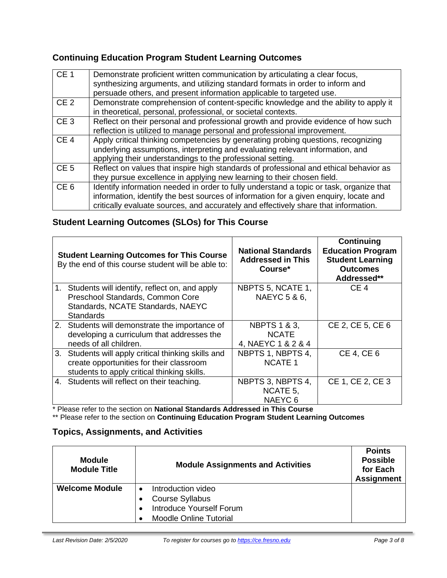# **Continuing Education Program Student Learning Outcomes**

| CE <sub>1</sub> | Demonstrate proficient written communication by articulating a clear focus,<br>synthesizing arguments, and utilizing standard formats in order to inform and<br>persuade others, and present information applicable to targeted use.                                    |
|-----------------|-------------------------------------------------------------------------------------------------------------------------------------------------------------------------------------------------------------------------------------------------------------------------|
| CE <sub>2</sub> | Demonstrate comprehension of content-specific knowledge and the ability to apply it<br>in theoretical, personal, professional, or societal contexts.                                                                                                                    |
| CE <sub>3</sub> | Reflect on their personal and professional growth and provide evidence of how such<br>reflection is utilized to manage personal and professional improvement.                                                                                                           |
| CE <sub>4</sub> | Apply critical thinking competencies by generating probing questions, recognizing<br>underlying assumptions, interpreting and evaluating relevant information, and<br>applying their understandings to the professional setting.                                        |
| CE <sub>5</sub> | Reflect on values that inspire high standards of professional and ethical behavior as<br>they pursue excellence in applying new learning to their chosen field.                                                                                                         |
| CE <sub>6</sub> | Identify information needed in order to fully understand a topic or task, organize that<br>information, identify the best sources of information for a given enquiry, locate and<br>critically evaluate sources, and accurately and effectively share that information. |

# **Student Learning Outcomes (SLOs) for This Course**

|    | <b>Student Learning Outcomes for This Course</b><br>By the end of this course student will be able to:                                         | <b>National Standards</b><br><b>Addressed in This</b><br>Course* | Continuing<br><b>Education Program</b><br><b>Student Learning</b><br><b>Outcomes</b><br>Addressed** |
|----|------------------------------------------------------------------------------------------------------------------------------------------------|------------------------------------------------------------------|-----------------------------------------------------------------------------------------------------|
| 1. | Students will identify, reflect on, and apply<br>Preschool Standards, Common Core<br>Standards, NCATE Standards, NAEYC<br><b>Standards</b>     | NBPTS 5, NCATE 1,<br>NAEYC 5 & 6,                                | CE <sub>4</sub>                                                                                     |
|    | 2. Students will demonstrate the importance of<br>developing a curriculum that addresses the<br>needs of all children.                         | <b>NBPTS 1 &amp; 3,</b><br><b>NCATE</b><br>4, NAEYC 1 & 2 & 4    | CE 2, CE 5, CE 6                                                                                    |
|    | 3. Students will apply critical thinking skills and<br>create opportunities for their classroom<br>students to apply critical thinking skills. | NBPTS 1, NBPTS 4,<br><b>NCATE 1</b>                              | CE 4, CE 6                                                                                          |
|    | 4. Students will reflect on their teaching.                                                                                                    | NBPTS 3, NBPTS 4,<br>NCATE 5.<br>NAEYC <sub>6</sub>              | CE 1, CE 2, CE 3                                                                                    |

\* Please refer to the section on **National Standards Addressed in This Course**

\*\* Please refer to the section on **Continuing Education Program Student Learning Outcomes**

# **Topics, Assignments, and Activities**

| <b>Module</b><br><b>Module Title</b> | <b>Module Assignments and Activities</b>                                                                  | <b>Points</b><br><b>Possible</b><br>for Each<br><b>Assignment</b> |
|--------------------------------------|-----------------------------------------------------------------------------------------------------------|-------------------------------------------------------------------|
| <b>Welcome Module</b>                | Introduction video<br><b>Course Syllabus</b><br>Introduce Yourself Forum<br><b>Moodle Online Tutorial</b> |                                                                   |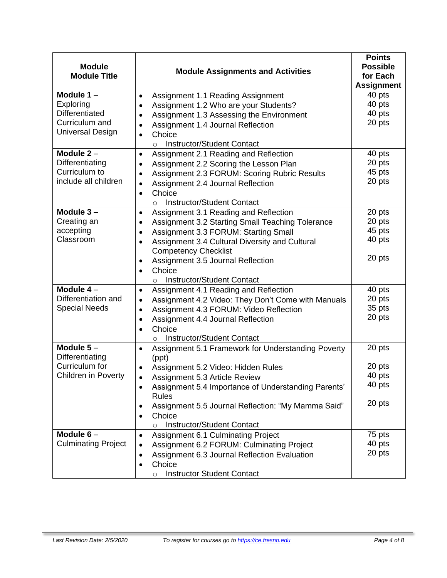| <b>Module</b><br><b>Module Title</b>                                                     | <b>Module Assignments and Activities</b>                                                                                                                                                                                                                                                                                                                                   | <b>Points</b><br><b>Possible</b><br>for Each<br><b>Assignment</b> |
|------------------------------------------------------------------------------------------|----------------------------------------------------------------------------------------------------------------------------------------------------------------------------------------------------------------------------------------------------------------------------------------------------------------------------------------------------------------------------|-------------------------------------------------------------------|
| Module $1 -$<br>Exploring<br>Differentiated<br>Curriculum and<br><b>Universal Design</b> | Assignment 1.1 Reading Assignment<br>$\bullet$<br>Assignment 1.2 Who are your Students?<br>$\bullet$<br>Assignment 1.3 Assessing the Environment<br>$\bullet$<br>Assignment 1.4 Journal Reflection<br>Choice<br>$\bullet$<br>Instructor/Student Contact<br>$\circ$                                                                                                         | 40 pts<br>40 pts<br>40 pts<br>20 pts                              |
| Module $2 -$<br>Differentiating<br>Curriculum to<br>include all children                 | Assignment 2.1 Reading and Reflection<br>$\bullet$<br>Assignment 2.2 Scoring the Lesson Plan<br>$\bullet$<br>Assignment 2.3 FORUM: Scoring Rubric Results<br>$\bullet$<br>Assignment 2.4 Journal Reflection<br>$\bullet$<br>Choice<br>$\bullet$<br><b>Instructor/Student Contact</b><br>$\circ$                                                                            | 40 pts<br>20 pts<br>45 pts<br>20 pts                              |
| Module $3-$<br>Creating an<br>accepting<br>Classroom                                     | Assignment 3.1 Reading and Reflection<br>$\bullet$<br>Assignment 3.2 Starting Small Teaching Tolerance<br>٠<br>Assignment 3.3 FORUM: Starting Small<br>$\bullet$<br>Assignment 3.4 Cultural Diversity and Cultural<br>$\bullet$<br><b>Competency Checklist</b><br>Assignment 3.5 Journal Reflection<br>Choice<br>$\bullet$<br><b>Instructor/Student Contact</b><br>$\circ$ | 20 pts<br>20 pts<br>45 pts<br>40 pts<br>20 pts                    |
| Module $4-$<br>Differentiation and<br><b>Special Needs</b>                               | Assignment 4.1 Reading and Reflection<br>$\bullet$<br>Assignment 4.2 Video: They Don't Come with Manuals<br>$\bullet$<br>Assignment 4.3 FORUM: Video Reflection<br>$\bullet$<br>Assignment 4.4 Journal Reflection<br>$\bullet$<br>Choice<br>Instructor/Student Contact<br>$\circ$                                                                                          | 40 pts<br>20 pts<br>35 pts<br>20 pts                              |
| Module $5-$<br>Differentiating<br>Curriculum for<br><b>Children in Poverty</b>           | Assignment 5.1 Framework for Understanding Poverty<br>(ppt)<br>Assignment 5.2 Video: Hidden Rules<br>٠<br>Assignment 5.3 Article Review<br>Assignment 5.4 Importance of Understanding Parents'<br>$\bullet$<br><b>Rules</b><br>Assignment 5.5 Journal Reflection: "My Mamma Said"<br>٠<br>Choice<br>$\bullet$<br>Instructor/Student Contact<br>$\circ$                     | 20 pts<br>20 pts<br>40 pts<br>40 pts<br>20 pts                    |
| Module $6-$<br><b>Culminating Project</b>                                                | <b>Assignment 6.1 Culminating Project</b><br>٠<br>Assignment 6.2 FORUM: Culminating Project<br>٠<br>Assignment 6.3 Journal Reflection Evaluation<br>٠<br>Choice<br>٠<br><b>Instructor Student Contact</b><br>$\circ$                                                                                                                                                       | 75 pts<br>40 pts<br>20 pts                                        |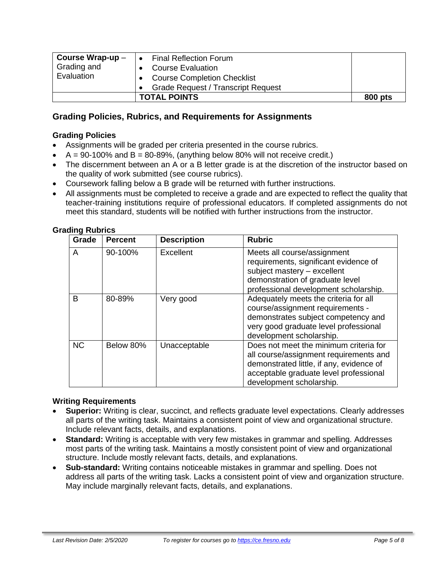| Course Wrap-up $-$ | <b>Final Reflection Forum</b>             |         |
|--------------------|-------------------------------------------|---------|
| Grading and        | <b>Course Evaluation</b>                  |         |
| Evaluation         | <b>Course Completion Checklist</b>        |         |
|                    | <b>Grade Request / Transcript Request</b> |         |
|                    | <b>TOTAL POINTS</b>                       | 800 pts |

# **Grading Policies, Rubrics, and Requirements for Assignments**

#### **Grading Policies**

- Assignments will be graded per criteria presented in the course rubrics.
- $A = 90-100\%$  and  $B = 80-89\%$ , (anything below 80% will not receive credit.)
- The discernment between an A or a B letter grade is at the discretion of the instructor based on the quality of work submitted (see course rubrics).
- Coursework falling below a B grade will be returned with further instructions.
- All assignments must be completed to receive a grade and are expected to reflect the quality that teacher-training institutions require of professional educators. If completed assignments do not meet this standard, students will be notified with further instructions from the instructor.

| <b>Grading Rubrics</b> |                |  |
|------------------------|----------------|--|
|                        | Crada   Daraar |  |

| Grade     | <b>Percent</b> | <b>Description</b> | <b>Rubric</b>                                                                                                                                                                                      |
|-----------|----------------|--------------------|----------------------------------------------------------------------------------------------------------------------------------------------------------------------------------------------------|
| A         | 90-100%        | Excellent          | Meets all course/assignment<br>requirements, significant evidence of<br>subject mastery - excellent<br>demonstration of graduate level<br>professional development scholarship.                    |
| B         | 80-89%         | Very good          | Adequately meets the criteria for all<br>course/assignment requirements -<br>demonstrates subject competency and<br>very good graduate level professional<br>development scholarship.              |
| <b>NC</b> | Below 80%      | Unacceptable       | Does not meet the minimum criteria for<br>all course/assignment requirements and<br>demonstrated little, if any, evidence of<br>acceptable graduate level professional<br>development scholarship. |

#### **Writing Requirements**

- **Superior:** Writing is clear, succinct, and reflects graduate level expectations. Clearly addresses all parts of the writing task. Maintains a consistent point of view and organizational structure. Include relevant facts, details, and explanations.
- **Standard:** Writing is acceptable with very few mistakes in grammar and spelling. Addresses most parts of the writing task. Maintains a mostly consistent point of view and organizational structure. Include mostly relevant facts, details, and explanations.
- **Sub-standard:** Writing contains noticeable mistakes in grammar and spelling. Does not address all parts of the writing task. Lacks a consistent point of view and organization structure. May include marginally relevant facts, details, and explanations.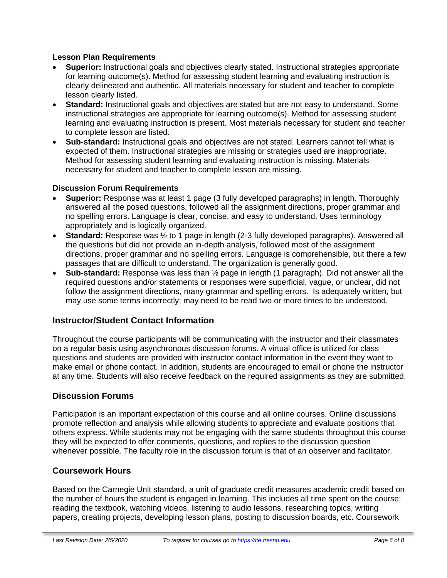### **Lesson Plan Requirements**

- **Superior:** Instructional goals and objectives clearly stated. Instructional strategies appropriate for learning outcome(s). Method for assessing student learning and evaluating instruction is clearly delineated and authentic. All materials necessary for student and teacher to complete lesson clearly listed.
- **Standard:** Instructional goals and objectives are stated but are not easy to understand. Some instructional strategies are appropriate for learning outcome(s). Method for assessing student learning and evaluating instruction is present. Most materials necessary for student and teacher to complete lesson are listed.
- **Sub-standard:** Instructional goals and objectives are not stated. Learners cannot tell what is expected of them. Instructional strategies are missing or strategies used are inappropriate. Method for assessing student learning and evaluating instruction is missing. Materials necessary for student and teacher to complete lesson are missing.

# **Discussion Forum Requirements**

- **Superior:** Response was at least 1 page (3 fully developed paragraphs) in length. Thoroughly answered all the posed questions, followed all the assignment directions, proper grammar and no spelling errors. Language is clear, concise, and easy to understand. Uses terminology appropriately and is logically organized.
- **Standard:** Response was ½ to 1 page in length (2-3 fully developed paragraphs). Answered all the questions but did not provide an in-depth analysis, followed most of the assignment directions, proper grammar and no spelling errors. Language is comprehensible, but there a few passages that are difficult to understand. The organization is generally good.
- **Sub-standard:** Response was less than ½ page in length (1 paragraph). Did not answer all the required questions and/or statements or responses were superficial, vague, or unclear, did not follow the assignment directions, many grammar and spelling errors. Is adequately written, but may use some terms incorrectly; may need to be read two or more times to be understood.

# **Instructor/Student Contact Information**

Throughout the course participants will be communicating with the instructor and their classmates on a regular basis using asynchronous discussion forums. A virtual office is utilized for class questions and students are provided with instructor contact information in the event they want to make email or phone contact. In addition, students are encouraged to email or phone the instructor at any time. Students will also receive feedback on the required assignments as they are submitted.

# **Discussion Forums**

Participation is an important expectation of this course and all online courses. Online discussions promote reflection and analysis while allowing students to appreciate and evaluate positions that others express. While students may not be engaging with the same students throughout this course they will be expected to offer comments, questions, and replies to the discussion question whenever possible. The faculty role in the discussion forum is that of an observer and facilitator.

# **Coursework Hours**

Based on the Carnegie Unit standard, a unit of graduate credit measures academic credit based on the number of hours the student is engaged in learning. This includes all time spent on the course: reading the textbook, watching videos, listening to audio lessons, researching topics, writing papers, creating projects, developing lesson plans, posting to discussion boards, etc. Coursework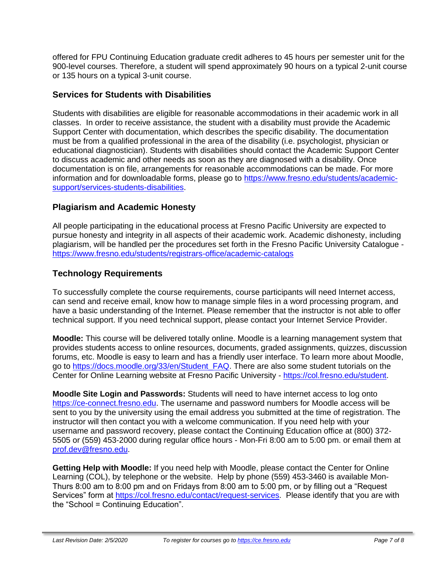offered for FPU Continuing Education graduate credit adheres to 45 hours per semester unit for the 900-level courses. Therefore, a student will spend approximately 90 hours on a typical 2-unit course or 135 hours on a typical 3-unit course.

# **Services for Students with Disabilities**

Students with disabilities are eligible for reasonable accommodations in their academic work in all classes. In order to receive assistance, the student with a disability must provide the Academic Support Center with documentation, which describes the specific disability. The documentation must be from a qualified professional in the area of the disability (i.e. psychologist, physician or educational diagnostician). Students with disabilities should contact the Academic Support Center to discuss academic and other needs as soon as they are diagnosed with a disability. Once documentation is on file, arrangements for reasonable accommodations can be made. For more information and for downloadable forms, please go to [https://www.fresno.edu/students/academic](https://www.fresno.edu/students/academic-support/services-students-disabilities)[support/services-students-disabilities.](https://www.fresno.edu/students/academic-support/services-students-disabilities)

# **Plagiarism and Academic Honesty**

All people participating in the educational process at Fresno Pacific University are expected to pursue honesty and integrity in all aspects of their academic work. Academic dishonesty, including plagiarism, will be handled per the procedures set forth in the Fresno Pacific University Catalogue <https://www.fresno.edu/students/registrars-office/academic-catalogs>

# **Technology Requirements**

To successfully complete the course requirements, course participants will need Internet access, can send and receive email, know how to manage simple files in a word processing program, and have a basic understanding of the Internet. Please remember that the instructor is not able to offer technical support. If you need technical support, please contact your Internet Service Provider.

**Moodle:** This course will be delivered totally online. Moodle is a learning management system that provides students access to online resources, documents, graded assignments, quizzes, discussion forums, etc. Moodle is easy to learn and has a friendly user interface. To learn more about Moodle, go to [https://docs.moodle.org/33/en/Student\\_FAQ.](https://docs.moodle.org/33/en/Student_FAQ) There are also some student tutorials on the Center for Online Learning website at Fresno Pacific University - [https://col.fresno.edu/student.](https://col.fresno.edu/student)

**Moodle Site Login and Passwords:** Students will need to have internet access to log onto [https://ce-connect.fresno.edu.](https://ce-connect.fresno.edu/) The username and password numbers for Moodle access will be sent to you by the university using the email address you submitted at the time of registration. The instructor will then contact you with a welcome communication. If you need help with your username and password recovery, please contact the Continuing Education office at (800) 372- 5505 or (559) 453-2000 during regular office hours - Mon-Fri 8:00 am to 5:00 pm. or email them at [prof.dev@fresno.edu.](mailto:prof.dev@fresno.edu)

**Getting Help with Moodle:** If you need help with Moodle, please contact the Center for Online Learning (COL), by telephone or the website. Help by phone (559) 453-3460 is available Mon-Thurs 8:00 am to 8:00 pm and on Fridays from 8:00 am to 5:00 pm, or by filling out a "Request Services" form at [https://col.fresno.edu/contact/request-services.](https://col.fresno.edu/contact/request-services) Please identify that you are with the "School = Continuing Education".